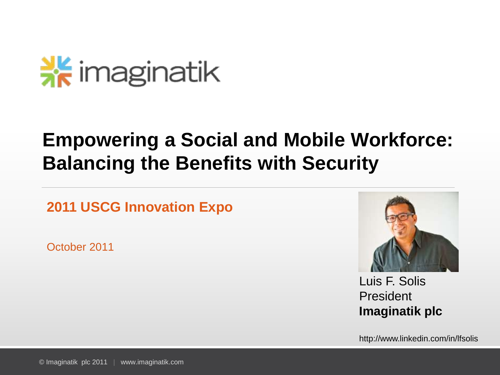## $\frac{N}{26}$  imaginatik

### **Empowering a Social and Mobile Workforce: Balancing the Benefits with Security**

**2011 USCG Innovation Expo**

October 2011



Luis F. Solis President **Imaginatik plc**

http://www.linkedin.com/in/lfsolis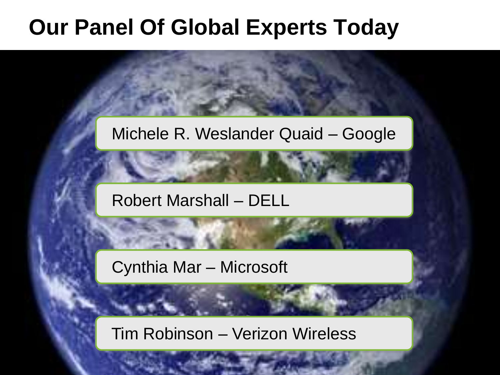## **Our Panel Of Global Experts Today**

### Michele R. Weslander Quaid – Google

#### Robert Marshall – DELL

Cynthia Mar – Microsoft

**1 © Imaginatik place place place place place place place place place place place place place place place place place place place place place place place place place place place place place place place place place place pl** 

Tim Robinson – Verizon Wireless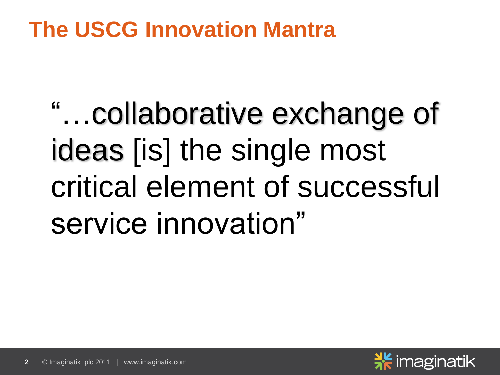## **The USCG Innovation Mantra**

"…collaborative exchange of ideas [is] the single most critical element of successful service innovation"

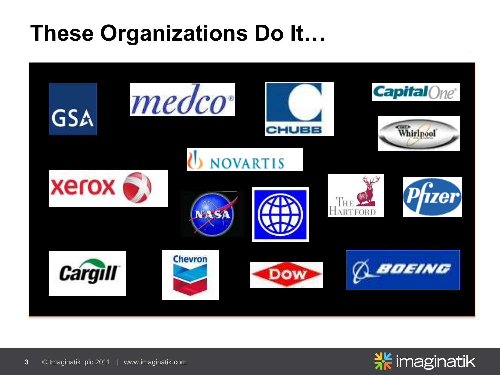## **These Organizations Do It…**



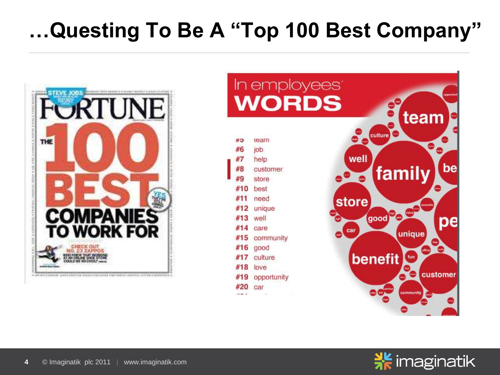## **…Questing To Be A "Top 100 Best Company"**





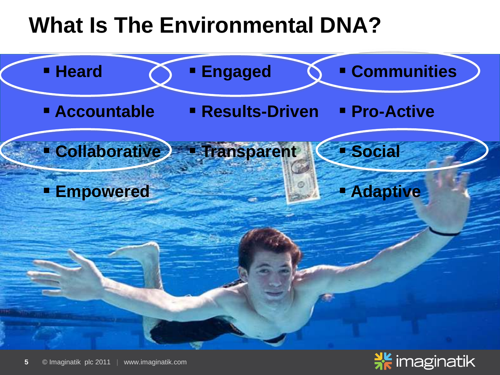## **What Is The Environmental DNA?**



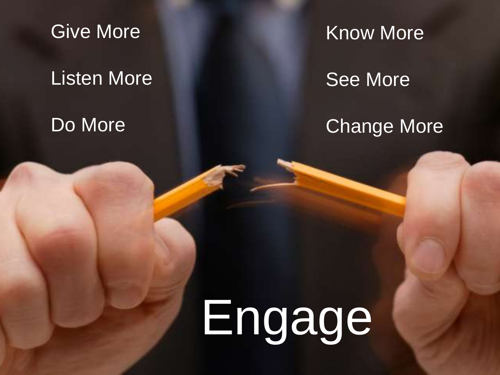Give More

### Listen More

**6 © Imaginatik place place and the company of the company of the company of the company of the company of the company** 

### Do More

Know More

See More

### **Change More**

# Engage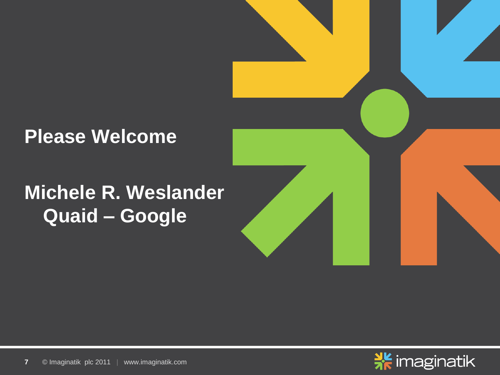### **Michele R. Weslander Quaid – Google**



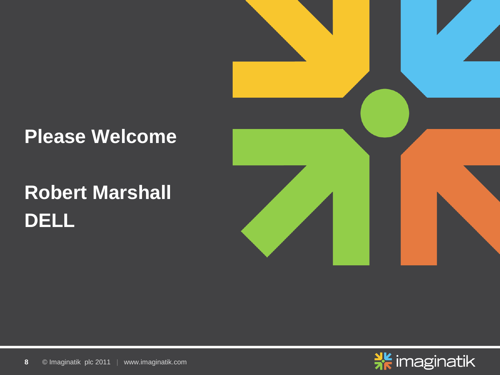## **Robert Marshall DELL**



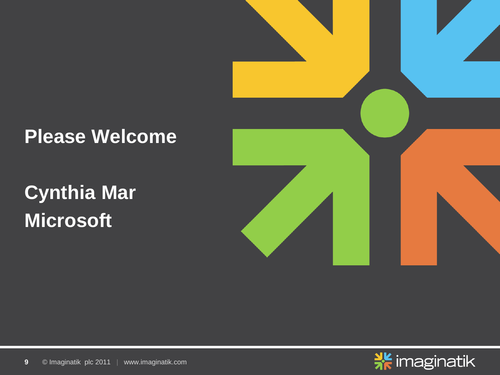**Cynthia Mar Microsoft**



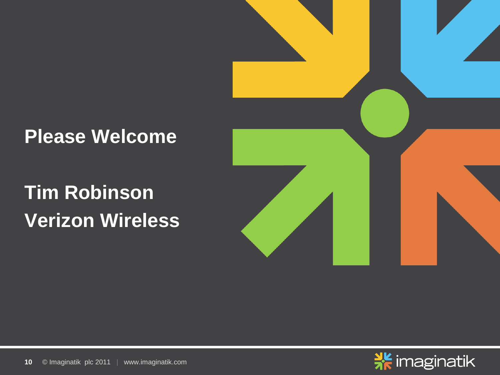## **Tim Robinson Verizon Wireless**